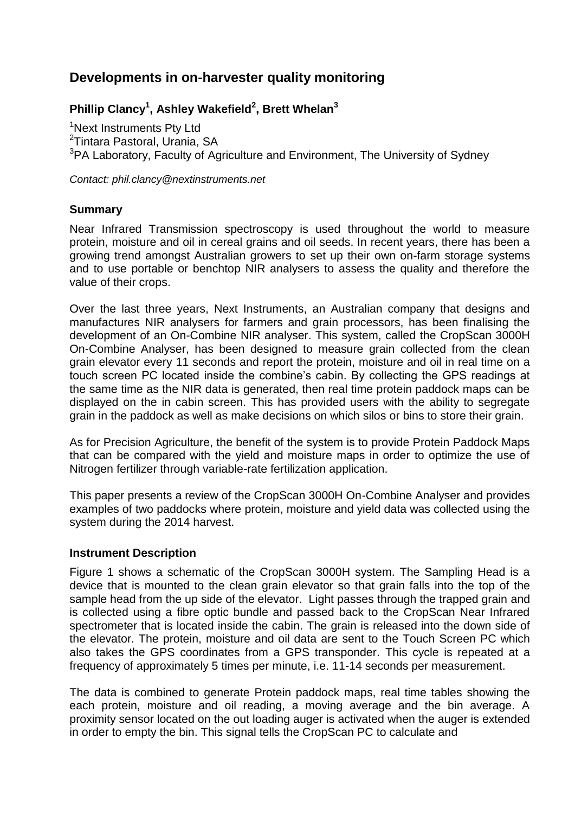# **Developments in on-harvester quality monitoring**

# **Phillip Clancy<sup>1</sup> , Ashley Wakefield<sup>2</sup> , Brett Whelan<sup>3</sup>**

<sup>1</sup>Next Instruments Pty Ltd <sup>2</sup>Tintara Pastoral, Urania, SA <sup>3</sup>PA Laboratory, Faculty of Agriculture and Environment, The University of Sydney

*Contact: phil.clancy@nextinstruments.net*

### **Summary**

Near Infrared Transmission spectroscopy is used throughout the world to measure protein, moisture and oil in cereal grains and oil seeds. In recent years, there has been a growing trend amongst Australian growers to set up their own on-farm storage systems and to use portable or benchtop NIR analysers to assess the quality and therefore the value of their crops.

Over the last three years, Next Instruments, an Australian company that designs and manufactures NIR analysers for farmers and grain processors, has been finalising the development of an On-Combine NIR analyser. This system, called the CropScan 3000H On-Combine Analyser, has been designed to measure grain collected from the clean grain elevator every 11 seconds and report the protein, moisture and oil in real time on a touch screen PC located inside the combine's cabin. By collecting the GPS readings at the same time as the NIR data is generated, then real time protein paddock maps can be displayed on the in cabin screen. This has provided users with the ability to segregate grain in the paddock as well as make decisions on which silos or bins to store their grain.

As for Precision Agriculture, the benefit of the system is to provide Protein Paddock Maps that can be compared with the yield and moisture maps in order to optimize the use of Nitrogen fertilizer through variable-rate fertilization application.

This paper presents a review of the CropScan 3000H On-Combine Analyser and provides examples of two paddocks where protein, moisture and yield data was collected using the system during the 2014 harvest.

#### **Instrument Description**

Figure 1 shows a schematic of the CropScan 3000H system. The Sampling Head is a device that is mounted to the clean grain elevator so that grain falls into the top of the sample head from the up side of the elevator. Light passes through the trapped grain and is collected using a fibre optic bundle and passed back to the CropScan Near Infrared spectrometer that is located inside the cabin. The grain is released into the down side of the elevator. The protein, moisture and oil data are sent to the Touch Screen PC which also takes the GPS coordinates from a GPS transponder. This cycle is repeated at a frequency of approximately 5 times per minute, i.e. 11-14 seconds per measurement.

The data is combined to generate Protein paddock maps, real time tables showing the each protein, moisture and oil reading, a moving average and the bin average. A proximity sensor located on the out loading auger is activated when the auger is extended in order to empty the bin. This signal tells the CropScan PC to calculate and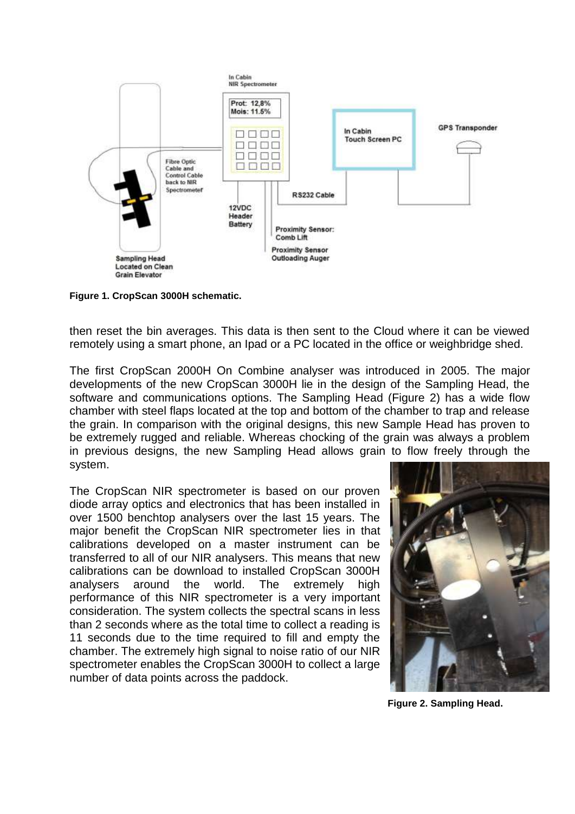

**Figure 1. CropScan 3000H schematic.**

then reset the bin averages. This data is then sent to the Cloud where it can be viewed remotely using a smart phone, an Ipad or a PC located in the office or weighbridge shed.

The first CropScan 2000H On Combine analyser was introduced in 2005. The major developments of the new CropScan 3000H lie in the design of the Sampling Head, the software and communications options. The Sampling Head (Figure 2) has a wide flow chamber with steel flaps located at the top and bottom of the chamber to trap and release the grain. In comparison with the original designs, this new Sample Head has proven to be extremely rugged and reliable. Whereas chocking of the grain was always a problem in previous designs, the new Sampling Head allows grain to flow freely through the system.

The CropScan NIR spectrometer is based on our proven diode array optics and electronics that has been installed in over 1500 benchtop analysers over the last 15 years. The major benefit the CropScan NIR spectrometer lies in that calibrations developed on a master instrument can be transferred to all of our NIR analysers. This means that new calibrations can be download to installed CropScan 3000H analysers around the world. The extremely high performance of this NIR spectrometer is a very important consideration. The system collects the spectral scans in less than 2 seconds where as the total time to collect a reading is 11 seconds due to the time required to fill and empty the chamber. The extremely high signal to noise ratio of our NIR spectrometer enables the CropScan 3000H to collect a large number of data points across the paddock.



 **Figure 2. Sampling Head.**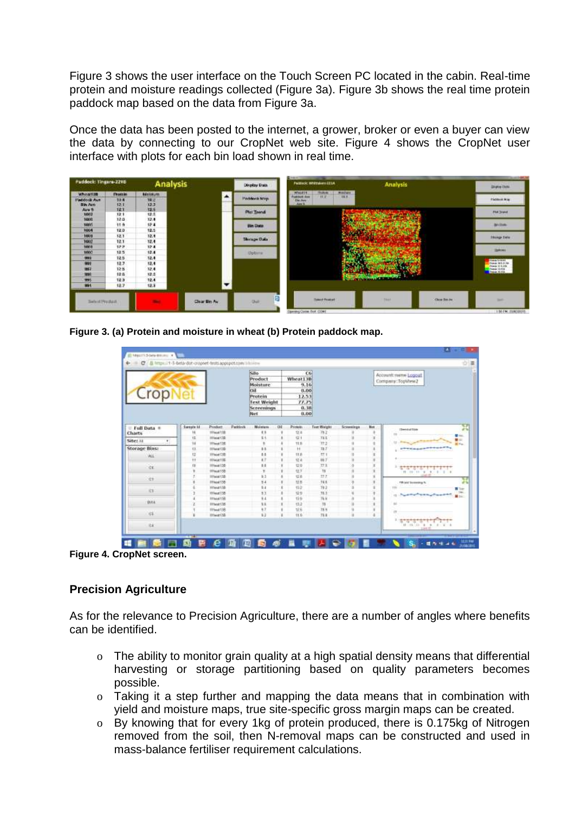Figure 3 shows the user interface on the Touch Screen PC located in the cabin. Real-time protein and moisture readings collected (Figure 3a). Figure 3b shows the real time protein paddock map based on the data from Figure 3a.

Once the data has been posted to the internet, a grower, broker or even a buyer can view the data by connecting to our CropNet web site. Figure 4 shows the CropNet user interface with plots for each bin load shown in real time.



**Figure 3. (a) Protein and moisture in wheat (b) Protein paddock map.**

| Crop                     |           |                      |         | Silo.<br>Product<br>Moisture<br>khit<br>Protein<br><b>Text Weight</b><br>Screenings<br>Net |     | Wheat13B<br>9.16<br>0.00<br>12.53<br>77.75<br>0.38<br>0.00 | CG                 |            |             | Account:nano Logout<br>Company:TopWew2        |  |
|--------------------------|-----------|----------------------|---------|--------------------------------------------------------------------------------------------|-----|------------------------------------------------------------|--------------------|------------|-------------|-----------------------------------------------|--|
| Full Data =              | Sarephy M | Position:            | Paddock | <b>Moleture</b>                                                                            | Oil | Protein                                                    | <b>Test Weight</b> | Screenings | <b>Bist</b> | ᠊<br>$4 - 6$<br><b>Cleaning State</b>         |  |
| <b>Charts</b>            |           | <b>STRAND TOP</b>    |         | $\ddot{ }$                                                                                 |     | 23                                                         | 79.2               |            |             | . .                                           |  |
| Site: as<br>$\mathbf{r}$ | tä        | <b>Hiladad CTR</b>   |         | 11                                                                                         |     | 921                                                        | 74.5               |            |             | 夏山                                            |  |
|                          | ы         | Illinoid S38         |         | ٠                                                                                          |     | 11.8                                                       | 77.2               |            |             | $H =$                                         |  |
| <b>Storage Bins:</b>     | ū         | <b>IIINeat 138</b>   |         | 11                                                                                         |     | Ħ                                                          | 10.7               |            |             |                                               |  |
| <b>VEL</b>               | u         | <b>Illhuat SSB</b>   |         | 0.0                                                                                        |     | 11.6                                                       | 77.1               |            |             |                                               |  |
|                          | Ħ         | <b>Hillwood T.TE</b> |         | $\lambda$                                                                                  |     | 12.4                                                       | 867                |            |             |                                               |  |
| ùб.                      |           | Illinoid S3B         |         | 1.1                                                                                        |     | 位变                                                         | 77.1               |            |             | 女性の方                                          |  |
|                          |           | 10 hours 1:32:       |         | ÿ                                                                                          |     | 业工                                                         | 16                 |            |             | 19. 19. 11. 9. 9. 0. 0. 0                     |  |
| St.                      |           | 3054x4132            |         | k1                                                                                         |     | 设备                                                         | 77.7               |            |             |                                               |  |
|                          |           | 31 local 530         |         | $\frac{1}{2}$                                                                              |     | tz n                                                       | 741                |            |             | <b>TR</b> will be receive to                  |  |
| ici.                     |           | Hihaatt38            |         | ¥.                                                                                         |     | 412                                                        | 782                |            |             | Tage                                          |  |
|                          |           | Illinoid 138         |         | 11                                                                                         |     | 52.51                                                      | 78.3               |            |             | <b><i><u>AMONTON COMP</u></i></b><br>٠<br>tu: |  |
| <b>BWA</b>               |           | <b>III head 138</b>  |         | 9.4                                                                                        |     | 12.6                                                       | 76.6               |            |             |                                               |  |
|                          |           | <b>IIIhaat C38</b>   |         | 35                                                                                         |     | 65.2                                                       | 18                 |            |             |                                               |  |
| <b>ick</b>               |           | Illhead 138          |         | 12                                                                                         |     | title                                                      | 18.9               |            |             |                                               |  |
|                          |           | <b>Image(38)</b>     |         | 1.3                                                                                        |     | 91.0<br>m                                                  | 78.8               |            |             | 在する大変の方がす                                     |  |
|                          |           |                      |         |                                                                                            |     |                                                            |                    |            |             |                                               |  |

**Figure 4. CropNet screen.**

#### **Precision Agriculture**

As for the relevance to Precision Agriculture, there are a number of angles where benefits can be identified.

- o The ability to monitor grain quality at a high spatial density means that differential harvesting or storage partitioning based on quality parameters becomes possible.
- o Taking it a step further and mapping the data means that in combination with yield and moisture maps, true site-specific gross margin maps can be created.
- o By knowing that for every 1kg of protein produced, there is 0.175kg of Nitrogen removed from the soil, then N-removal maps can be constructed and used in mass-balance fertiliser requirement calculations.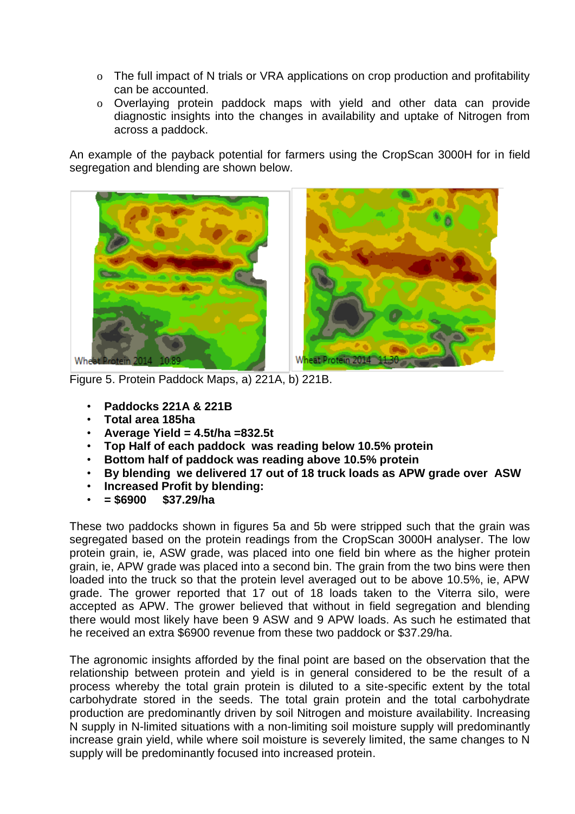- o The full impact of N trials or VRA applications on crop production and profitability can be accounted.
- o Overlaying protein paddock maps with yield and other data can provide diagnostic insights into the changes in availability and uptake of Nitrogen from across a paddock.

An example of the payback potential for farmers using the CropScan 3000H for in field segregation and blending are shown below.



Figure 5. Protein Paddock Maps, a) 221A, b) 221B.

- **Paddocks 221A & 221B**
- **Total area 185ha**
- **Average Yield = 4.5t/ha =832.5t**
- **Top Half of each paddock was reading below 10.5% protein**
- **Bottom half of paddock was reading above 10.5% protein**
- **By blending we delivered 17 out of 18 truck loads as APW grade over ASW**
- **Increased Profit by blending:**
- **= \$6900 \$37.29/ha**

These two paddocks shown in figures 5a and 5b were stripped such that the grain was segregated based on the protein readings from the CropScan 3000H analyser. The low protein grain, ie, ASW grade, was placed into one field bin where as the higher protein grain, ie, APW grade was placed into a second bin. The grain from the two bins were then loaded into the truck so that the protein level averaged out to be above 10.5%, ie, APW grade. The grower reported that 17 out of 18 loads taken to the Viterra silo, were accepted as APW. The grower believed that without in field segregation and blending there would most likely have been 9 ASW and 9 APW loads. As such he estimated that he received an extra \$6900 revenue from these two paddock or \$37.29/ha.

The agronomic insights afforded by the final point are based on the observation that the relationship between protein and yield is in general considered to be the result of a process whereby the total grain protein is diluted to a site-specific extent by the total carbohydrate stored in the seeds. The total grain protein and the total carbohydrate production are predominantly driven by soil Nitrogen and moisture availability. Increasing N supply in N-limited situations with a non-limiting soil moisture supply will predominantly increase grain yield, while where soil moisture is severely limited, the same changes to N supply will be predominantly focused into increased protein.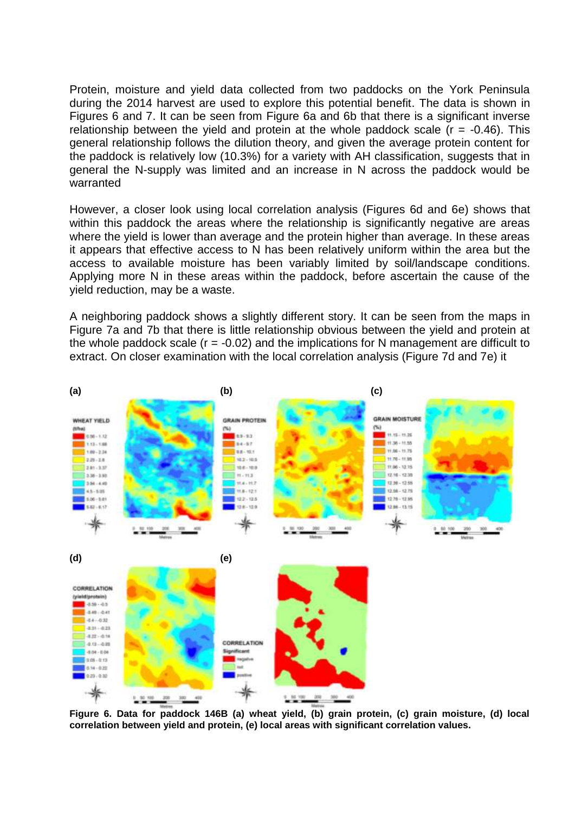Protein, moisture and yield data collected from two paddocks on the York Peninsula during the 2014 harvest are used to explore this potential benefit. The data is shown in Figures 6 and 7. It can be seen from Figure 6a and 6b that there is a significant inverse relationship between the yield and protein at the whole paddock scale  $(r = -0.46)$ . This general relationship follows the dilution theory, and given the average protein content for the paddock is relatively low (10.3%) for a variety with AH classification, suggests that in general the N-supply was limited and an increase in N across the paddock would be warranted

However, a closer look using local correlation analysis (Figures 6d and 6e) shows that within this paddock the areas where the relationship is significantly negative are areas where the yield is lower than average and the protein higher than average. In these areas it appears that effective access to N has been relatively uniform within the area but the access to available moisture has been variably limited by soil/landscape conditions. Applying more N in these areas within the paddock, before ascertain the cause of the yield reduction, may be a waste.

A neighboring paddock shows a slightly different story. It can be seen from the maps in Figure 7a and 7b that there is little relationship obvious between the yield and protein at the whole paddock scale  $(r = -0.02)$  and the implications for N management are difficult to extract. On closer examination with the local correlation analysis (Figure 7d and 7e) it



**Figure 6. Data for paddock 146B (a) wheat yield, (b) grain protein, (c) grain moisture, (d) local correlation between yield and protein, (e) local areas with significant correlation values.**